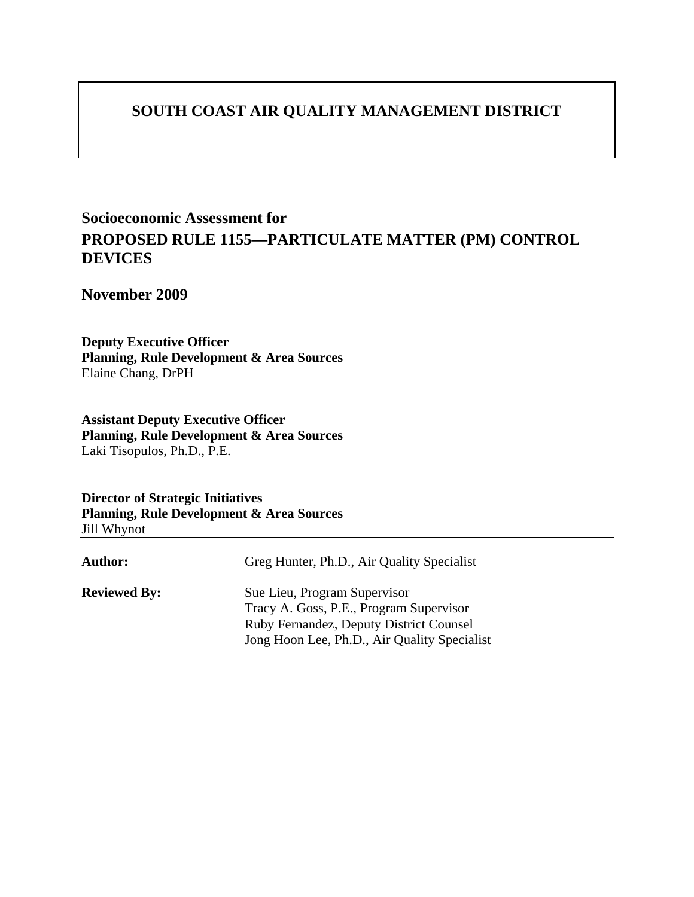## **SOUTH COAST AIR QUALITY MANAGEMENT DISTRICT**

## **Socioeconomic Assessment for PROPOSED RULE 1155—PARTICULATE MATTER (PM) CONTROL DEVICES**

**November 2009** 

**Deputy Executive Officer Planning, Rule Development & Area Sources** Elaine Chang, DrPH

**Assistant Deputy Executive Officer Planning, Rule Development & Area Sources** Laki Tisopulos, Ph.D., P.E.

**Director of Strategic Initiatives Planning, Rule Development & Area Sources** Jill Whynot

| Author:             | Greg Hunter, Ph.D., Air Quality Specialist                                              |
|---------------------|-----------------------------------------------------------------------------------------|
| <b>Reviewed By:</b> | Sue Lieu, Program Supervisor<br>Tracy A. Goss, P.E., Program Supervisor                 |
|                     | Ruby Fernandez, Deputy District Counsel<br>Jong Hoon Lee, Ph.D., Air Quality Specialist |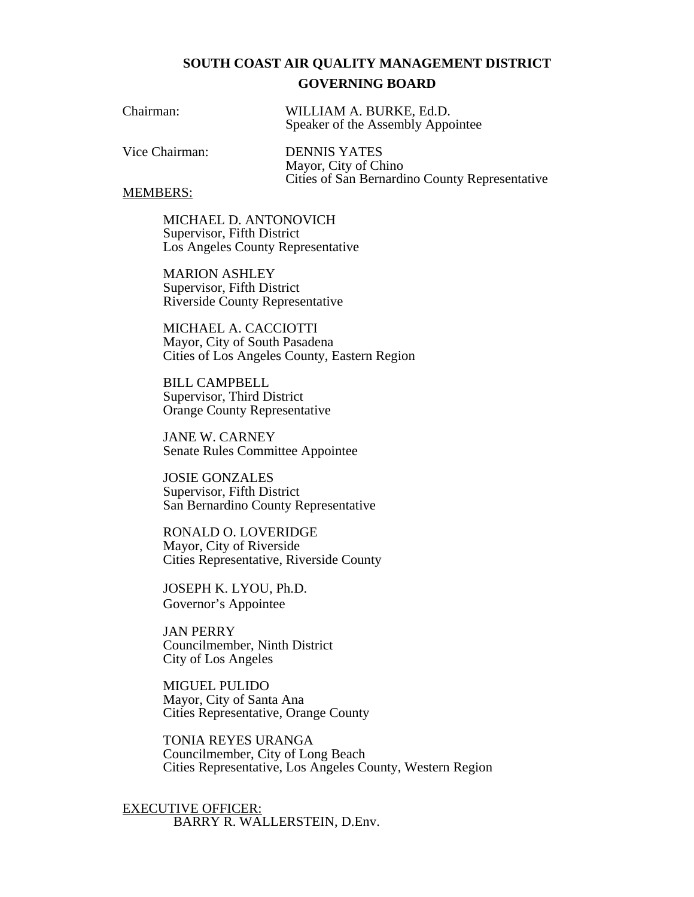### **SOUTH COAST AIR QUALITY MANAGEMENT DISTRICT GOVERNING BOARD**

| Chairman: | WILLIAM A. BURKE, Ed.D.           |
|-----------|-----------------------------------|
|           | Speaker of the Assembly Appointee |

Vice Chairman: DENNIS YATES

Mayor, City of Chino Cities of San Bernardino County Representative

#### MEMBERS:

MICHAEL D. ANTONOVICH Supervisor, Fifth District Los Angeles County Representative

MARION ASHLEY Supervisor, Fifth District Riverside County Representative

MICHAEL A. CACCIOTTI Mayor, City of South Pasadena Cities of Los Angeles County, Eastern Region

BILL CAMPBELL Supervisor, Third District Orange County Representative

JANE W. CARNEY Senate Rules Committee Appointee

JOSIE GONZALES Supervisor, Fifth District San Bernardino County Representative

RONALD O. LOVERIDGE Mayor, City of Riverside Cities Representative, Riverside County

JOSEPH K. LYOU, Ph.D. Governor's Appointee

JAN PERRY Councilmember, Ninth District City of Los Angeles

MIGUEL PULIDO Mayor, City of Santa Ana Cities Representative, Orange County

TONIA REYES URANGA Councilmember, City of Long Beach Cities Representative, Los Angeles County, Western Region

EXECUTIVE OFFICER: BARRY R. WALLERSTEIN, D.Env.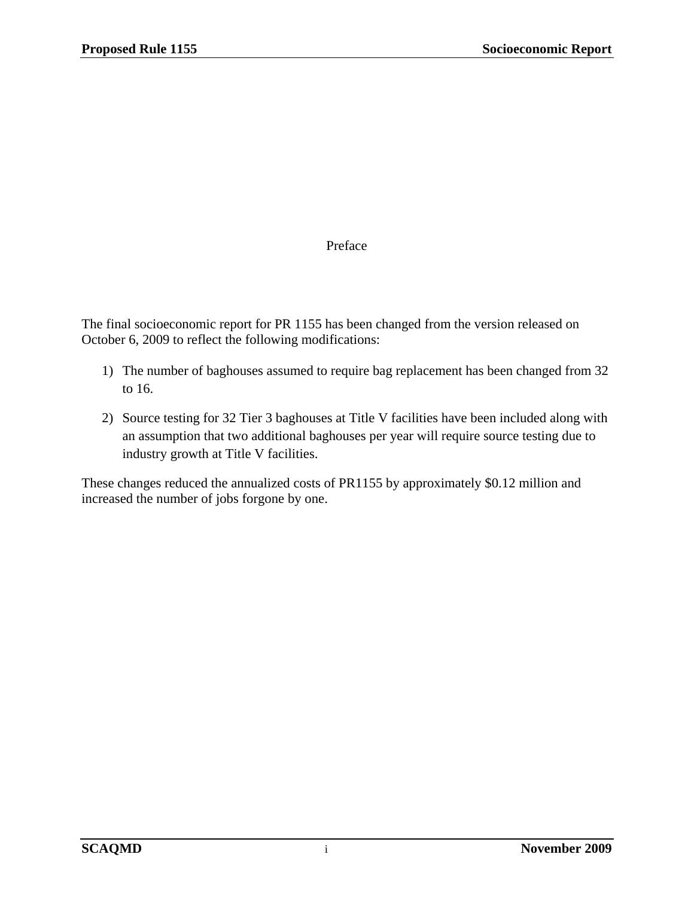### Preface

The final socioeconomic report for PR 1155 has been changed from the version released on October 6, 2009 to reflect the following modifications:

- 1) The number of baghouses assumed to require bag replacement has been changed from 32 to 16.
- 2) Source testing for 32 Tier 3 baghouses at Title V facilities have been included along with an assumption that two additional baghouses per year will require source testing due to industry growth at Title V facilities.

These changes reduced the annualized costs of PR1155 by approximately \$0.12 million and increased the number of jobs forgone by one.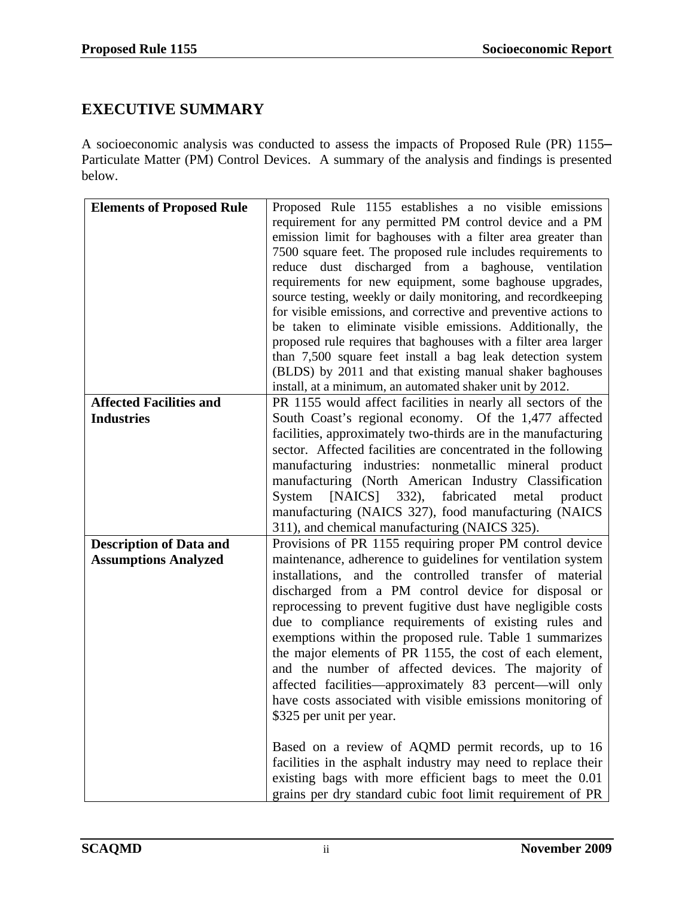## **EXECUTIVE SUMMARY**

A socioeconomic analysis was conducted to assess the impacts of Proposed Rule (PR) 1155**–** Particulate Matter (PM) Control Devices. A summary of the analysis and findings is presented below.

| Proposed Rule 1155 establishes a no visible emissions                                                                   |
|-------------------------------------------------------------------------------------------------------------------------|
| requirement for any permitted PM control device and a PM                                                                |
| emission limit for baghouses with a filter area greater than                                                            |
| 7500 square feet. The proposed rule includes requirements to                                                            |
| reduce dust discharged from a baghouse, ventilation                                                                     |
| requirements for new equipment, some baghouse upgrades,                                                                 |
| source testing, weekly or daily monitoring, and recordkeeping                                                           |
| for visible emissions, and corrective and preventive actions to                                                         |
| be taken to eliminate visible emissions. Additionally, the                                                              |
| proposed rule requires that baghouses with a filter area larger                                                         |
| than 7,500 square feet install a bag leak detection system                                                              |
| (BLDS) by 2011 and that existing manual shaker baghouses                                                                |
| install, at a minimum, an automated shaker unit by 2012.                                                                |
| PR 1155 would affect facilities in nearly all sectors of the                                                            |
| South Coast's regional economy. Of the 1,477 affected                                                                   |
| facilities, approximately two-thirds are in the manufacturing                                                           |
| sector. Affected facilities are concentrated in the following                                                           |
| manufacturing industries: nonmetallic mineral product                                                                   |
| manufacturing (North American Industry Classification                                                                   |
| [NAICS] 332), fabricated metal<br>System<br>product                                                                     |
| manufacturing (NAICS 327), food manufacturing (NAICS                                                                    |
| 311), and chemical manufacturing (NAICS 325).                                                                           |
| Provisions of PR 1155 requiring proper PM control device                                                                |
| maintenance, adherence to guidelines for ventilation system                                                             |
| installations, and the controlled transfer of material                                                                  |
| discharged from a PM control device for disposal or                                                                     |
| reprocessing to prevent fugitive dust have negligible costs                                                             |
| due to compliance requirements of existing rules and                                                                    |
| exemptions within the proposed rule. Table 1 summarizes                                                                 |
| the major elements of PR 1155, the cost of each element,                                                                |
| and the number of affected devices. The majority of                                                                     |
| affected facilities—approximately 83 percent—will only                                                                  |
| have costs associated with visible emissions monitoring of                                                              |
| \$325 per unit per year.                                                                                                |
|                                                                                                                         |
|                                                                                                                         |
|                                                                                                                         |
| Based on a review of AQMD permit records, up to 16                                                                      |
| facilities in the asphalt industry may need to replace their<br>existing bags with more efficient bags to meet the 0.01 |
|                                                                                                                         |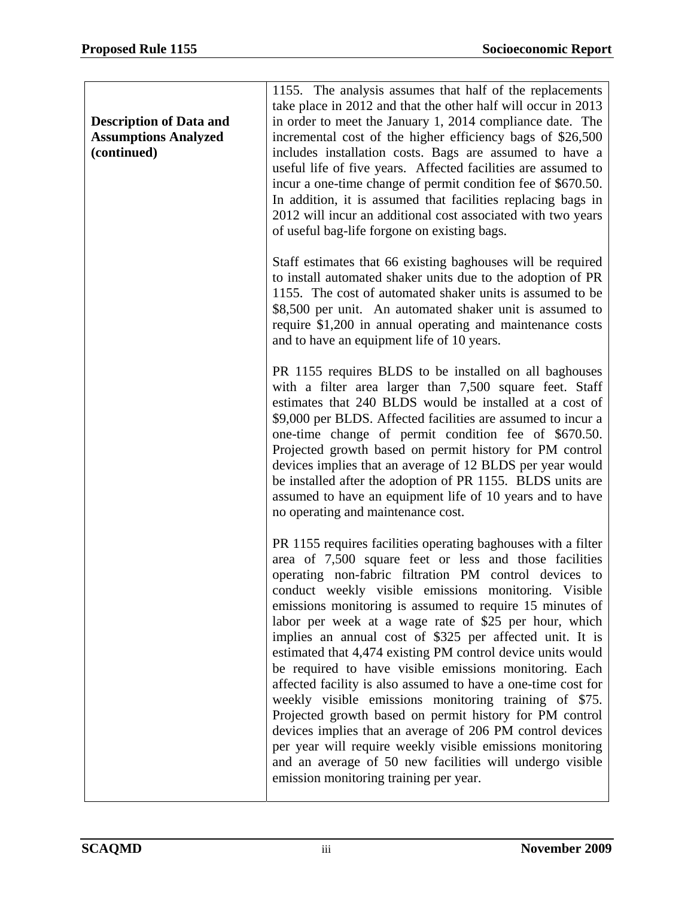| <b>Description of Data and</b><br><b>Assumptions Analyzed</b><br>(continued) | 1155. The analysis assumes that half of the replacements<br>take place in 2012 and that the other half will occur in 2013<br>in order to meet the January 1, 2014 compliance date. The<br>incremental cost of the higher efficiency bags of \$26,500<br>includes installation costs. Bags are assumed to have a<br>useful life of five years. Affected facilities are assumed to<br>incur a one-time change of permit condition fee of \$670.50.<br>In addition, it is assumed that facilities replacing bags in<br>2012 will incur an additional cost associated with two years<br>of useful bag-life forgone on existing bags.                                                                                                                                                                                                                                                                                                                                        |
|------------------------------------------------------------------------------|-------------------------------------------------------------------------------------------------------------------------------------------------------------------------------------------------------------------------------------------------------------------------------------------------------------------------------------------------------------------------------------------------------------------------------------------------------------------------------------------------------------------------------------------------------------------------------------------------------------------------------------------------------------------------------------------------------------------------------------------------------------------------------------------------------------------------------------------------------------------------------------------------------------------------------------------------------------------------|
|                                                                              | Staff estimates that 66 existing baghouses will be required<br>to install automated shaker units due to the adoption of PR<br>1155. The cost of automated shaker units is assumed to be<br>\$8,500 per unit. An automated shaker unit is assumed to<br>require \$1,200 in annual operating and maintenance costs<br>and to have an equipment life of 10 years.                                                                                                                                                                                                                                                                                                                                                                                                                                                                                                                                                                                                          |
|                                                                              | PR 1155 requires BLDS to be installed on all baghouses<br>with a filter area larger than 7,500 square feet. Staff<br>estimates that 240 BLDS would be installed at a cost of<br>\$9,000 per BLDS. Affected facilities are assumed to incur a<br>one-time change of permit condition fee of \$670.50.<br>Projected growth based on permit history for PM control<br>devices implies that an average of 12 BLDS per year would<br>be installed after the adoption of PR 1155. BLDS units are<br>assumed to have an equipment life of 10 years and to have<br>no operating and maintenance cost.                                                                                                                                                                                                                                                                                                                                                                           |
|                                                                              | PR 1155 requires facilities operating baghouses with a filter<br>area of 7,500 square feet or less and those facilities<br>operating non-fabric filtration PM control devices to<br>conduct weekly visible emissions monitoring. Visible<br>emissions monitoring is assumed to require 15 minutes of<br>labor per week at a wage rate of \$25 per hour, which<br>implies an annual cost of \$325 per affected unit. It is<br>estimated that 4,474 existing PM control device units would<br>be required to have visible emissions monitoring. Each<br>affected facility is also assumed to have a one-time cost for<br>weekly visible emissions monitoring training of \$75.<br>Projected growth based on permit history for PM control<br>devices implies that an average of 206 PM control devices<br>per year will require weekly visible emissions monitoring<br>and an average of 50 new facilities will undergo visible<br>emission monitoring training per year. |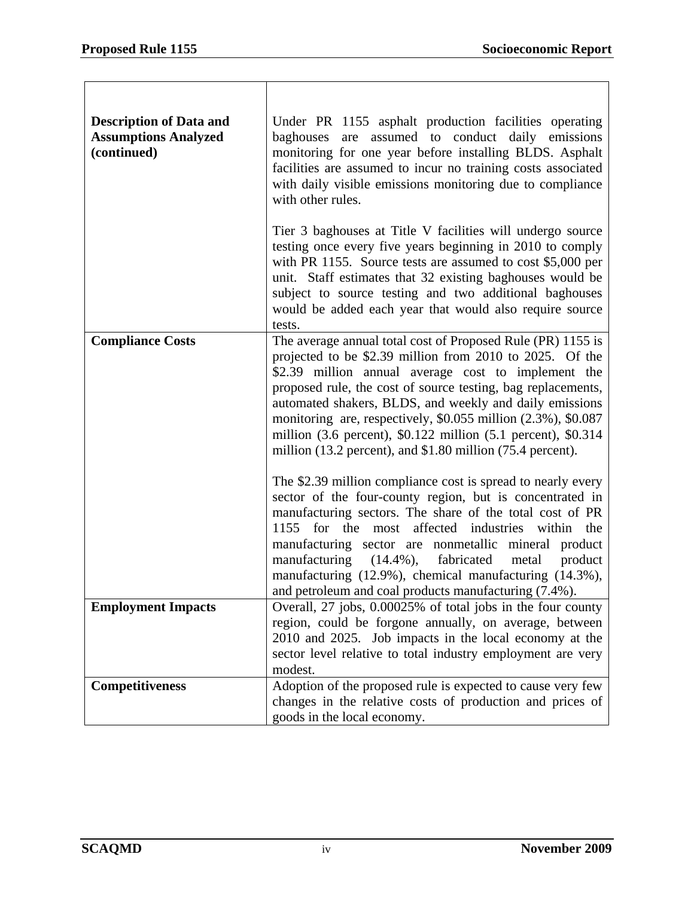| <b>Description of Data and</b><br><b>Assumptions Analyzed</b><br>(continued) | Under PR 1155 asphalt production facilities operating<br>assumed to conduct daily emissions<br>baghouses<br>are<br>monitoring for one year before installing BLDS. Asphalt<br>facilities are assumed to incur no training costs associated<br>with daily visible emissions monitoring due to compliance<br>with other rules.                                                                                                                                                                                                    |  |  |  |  |
|------------------------------------------------------------------------------|---------------------------------------------------------------------------------------------------------------------------------------------------------------------------------------------------------------------------------------------------------------------------------------------------------------------------------------------------------------------------------------------------------------------------------------------------------------------------------------------------------------------------------|--|--|--|--|
|                                                                              | Tier 3 baghouses at Title V facilities will undergo source<br>testing once every five years beginning in 2010 to comply<br>with PR 1155. Source tests are assumed to cost \$5,000 per<br>unit. Staff estimates that 32 existing baghouses would be<br>subject to source testing and two additional baghouses<br>would be added each year that would also require source<br>tests.                                                                                                                                               |  |  |  |  |
| <b>Compliance Costs</b>                                                      | The average annual total cost of Proposed Rule (PR) 1155 is<br>projected to be \$2.39 million from 2010 to 2025. Of the<br>\$2.39 million annual average cost to implement the<br>proposed rule, the cost of source testing, bag replacements,<br>automated shakers, BLDS, and weekly and daily emissions<br>monitoring are, respectively, \$0.055 million (2.3%), \$0.087<br>million $(3.6 \text{ percent})$ , \$0.122 million $(5.1 \text{ percent})$ , \$0.314<br>million (13.2 percent), and \$1.80 million (75.4 percent). |  |  |  |  |
|                                                                              | The \$2.39 million compliance cost is spread to nearly every<br>sector of the four-county region, but is concentrated in<br>manufacturing sectors. The share of the total cost of PR<br>affected industries within<br>1155<br>for the<br>the<br>most<br>manufacturing sector are nonmetallic mineral product<br>manufacturing $(14.4\%)$ ,<br>fabricated<br>metal<br>product<br>manufacturing (12.9%), chemical manufacturing (14.3%),<br>and petroleum and coal products manufacturing $(7.4\%)$ .                             |  |  |  |  |
| <b>Employment Impacts</b>                                                    | Overall, 27 jobs, 0.00025% of total jobs in the four county<br>region, could be forgone annually, on average, between<br>2010 and 2025. Job impacts in the local economy at the<br>sector level relative to total industry employment are very<br>modest.                                                                                                                                                                                                                                                                       |  |  |  |  |
| <b>Competitiveness</b>                                                       | Adoption of the proposed rule is expected to cause very few<br>changes in the relative costs of production and prices of<br>goods in the local economy.                                                                                                                                                                                                                                                                                                                                                                         |  |  |  |  |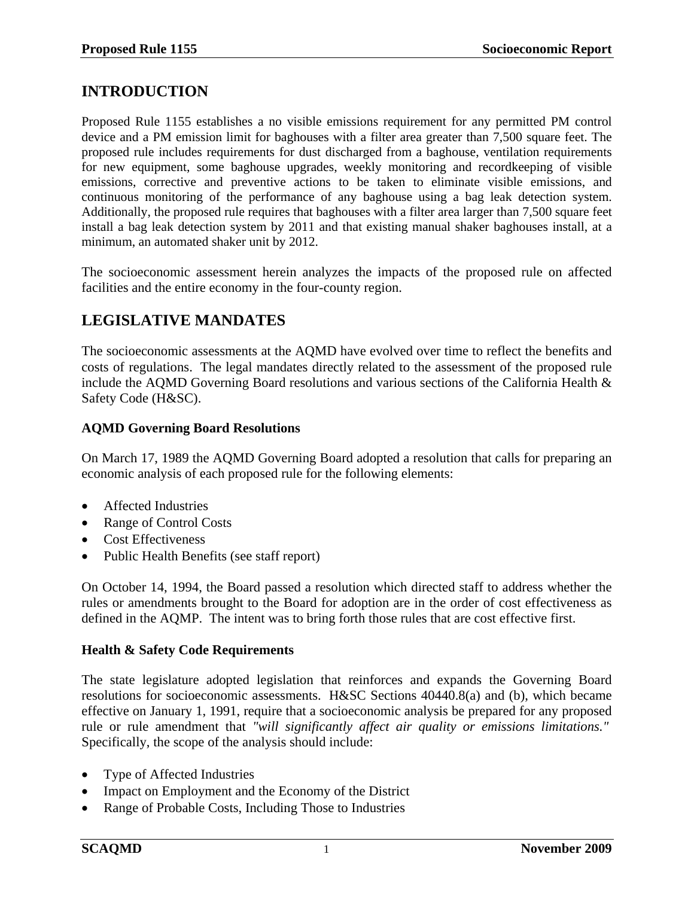## **INTRODUCTION**

Proposed Rule 1155 establishes a no visible emissions requirement for any permitted PM control device and a PM emission limit for baghouses with a filter area greater than 7,500 square feet. The proposed rule includes requirements for dust discharged from a baghouse, ventilation requirements for new equipment, some baghouse upgrades, weekly monitoring and recordkeeping of visible emissions, corrective and preventive actions to be taken to eliminate visible emissions, and continuous monitoring of the performance of any baghouse using a bag leak detection system. Additionally, the proposed rule requires that baghouses with a filter area larger than 7,500 square feet install a bag leak detection system by 2011 and that existing manual shaker baghouses install, at a minimum, an automated shaker unit by 2012.

The socioeconomic assessment herein analyzes the impacts of the proposed rule on affected facilities and the entire economy in the four-county region.

## **LEGISLATIVE MANDATES**

The socioeconomic assessments at the AQMD have evolved over time to reflect the benefits and costs of regulations. The legal mandates directly related to the assessment of the proposed rule include the AQMD Governing Board resolutions and various sections of the California Health & Safety Code (H&SC).

### **AQMD Governing Board Resolutions**

On March 17, 1989 the AQMD Governing Board adopted a resolution that calls for preparing an economic analysis of each proposed rule for the following elements:

- Affected Industries
- Range of Control Costs
- Cost Effectiveness
- Public Health Benefits (see staff report)

On October 14, 1994, the Board passed a resolution which directed staff to address whether the rules or amendments brought to the Board for adoption are in the order of cost effectiveness as defined in the AQMP. The intent was to bring forth those rules that are cost effective first.

### **Health & Safety Code Requirements**

The state legislature adopted legislation that reinforces and expands the Governing Board resolutions for socioeconomic assessments. H&SC Sections 40440.8(a) and (b), which became effective on January 1, 1991, require that a socioeconomic analysis be prepared for any proposed rule or rule amendment that *"will significantly affect air quality or emissions limitations."* Specifically, the scope of the analysis should include:

- Type of Affected Industries
- Impact on Employment and the Economy of the District
- Range of Probable Costs, Including Those to Industries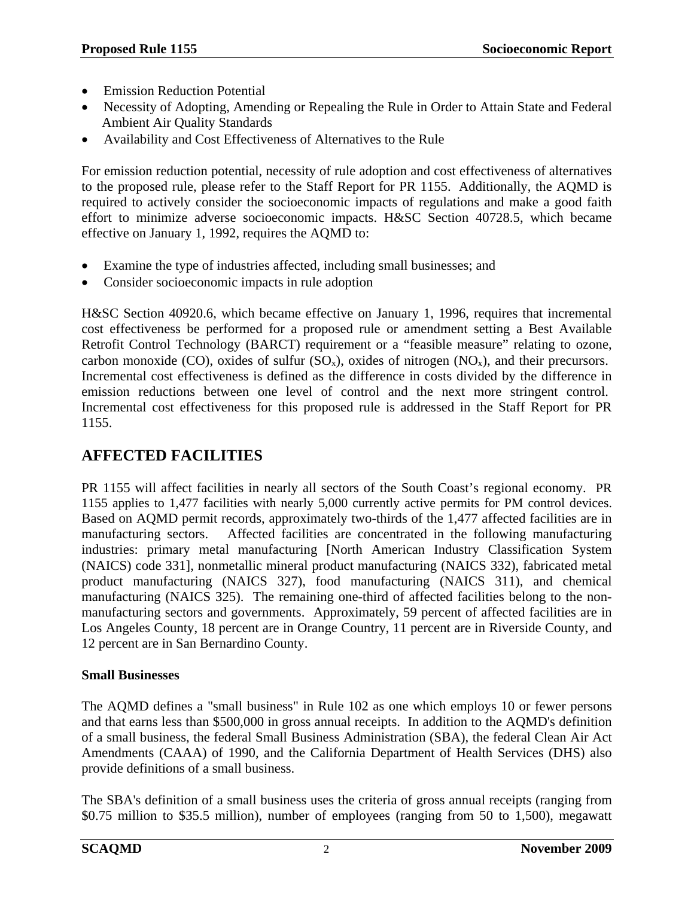- Emission Reduction Potential
- Necessity of Adopting, Amending or Repealing the Rule in Order to Attain State and Federal Ambient Air Quality Standards
- Availability and Cost Effectiveness of Alternatives to the Rule

For emission reduction potential, necessity of rule adoption and cost effectiveness of alternatives to the proposed rule, please refer to the Staff Report for PR 1155. Additionally, the AQMD is required to actively consider the socioeconomic impacts of regulations and make a good faith effort to minimize adverse socioeconomic impacts. H&SC Section 40728.5, which became effective on January 1, 1992, requires the AQMD to:

- Examine the type of industries affected, including small businesses; and
- Consider socioeconomic impacts in rule adoption

H&SC Section 40920.6, which became effective on January 1, 1996, requires that incremental cost effectiveness be performed for a proposed rule or amendment setting a Best Available Retrofit Control Technology (BARCT) requirement or a "feasible measure" relating to ozone, carbon monoxide (CO), oxides of sulfur  $(SO_x)$ , oxides of nitrogen  $(NO_x)$ , and their precursors. Incremental cost effectiveness is defined as the difference in costs divided by the difference in emission reductions between one level of control and the next more stringent control. Incremental cost effectiveness for this proposed rule is addressed in the Staff Report for PR 1155.

# **AFFECTED FACILITIES**

PR 1155 will affect facilities in nearly all sectors of the South Coast's regional economy. PR 1155 applies to 1,477 facilities with nearly 5,000 currently active permits for PM control devices. Based on AQMD permit records, approximately two-thirds of the 1,477 affected facilities are in manufacturing sectors. Affected facilities are concentrated in the following manufacturing industries: primary metal manufacturing [North American Industry Classification System (NAICS) code 331], nonmetallic mineral product manufacturing (NAICS 332), fabricated metal product manufacturing (NAICS 327), food manufacturing (NAICS 311), and chemical manufacturing (NAICS 325). The remaining one-third of affected facilities belong to the nonmanufacturing sectors and governments. Approximately, 59 percent of affected facilities are in Los Angeles County, 18 percent are in Orange Country, 11 percent are in Riverside County, and 12 percent are in San Bernardino County.

### **Small Businesses**

The AQMD defines a "small business" in Rule 102 as one which employs 10 or fewer persons and that earns less than \$500,000 in gross annual receipts. In addition to the AQMD's definition of a small business, the federal Small Business Administration (SBA), the federal Clean Air Act Amendments (CAAA) of 1990, and the California Department of Health Services (DHS) also provide definitions of a small business.

The SBA's definition of a small business uses the criteria of gross annual receipts (ranging from \$0.75 million to \$35.5 million), number of employees (ranging from 50 to 1,500), megawatt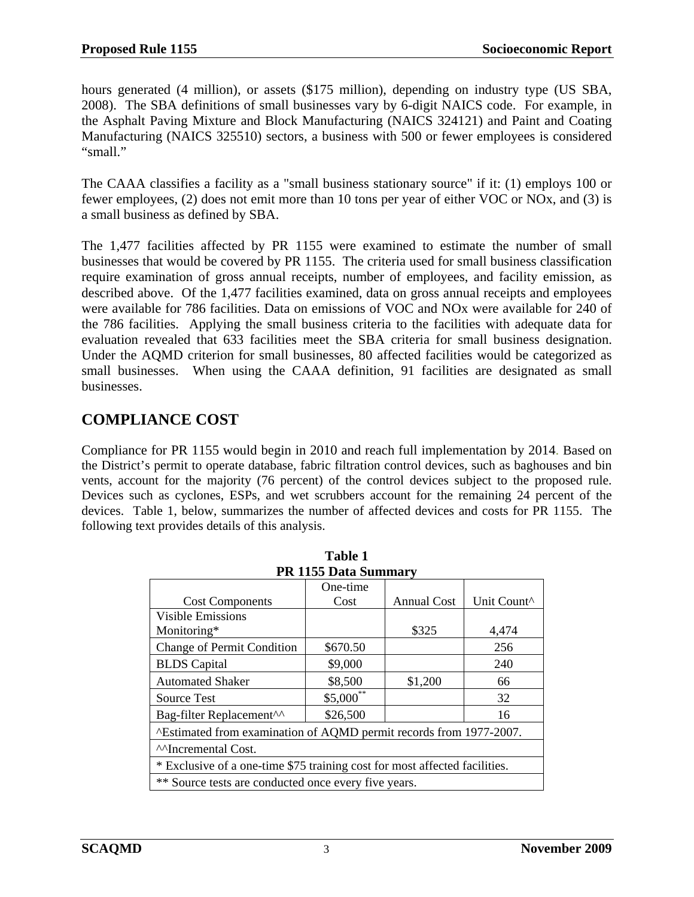hours generated (4 million), or assets (\$175 million), depending on industry type (US SBA, 2008). The SBA definitions of small businesses vary by 6-digit NAICS code. For example, in the Asphalt Paving Mixture and Block Manufacturing (NAICS 324121) and Paint and Coating Manufacturing (NAICS 325510) sectors, a business with 500 or fewer employees is considered "small."

The CAAA classifies a facility as a "small business stationary source" if it: (1) employs 100 or fewer employees, (2) does not emit more than 10 tons per year of either VOC or NOx, and (3) is a small business as defined by SBA.

The 1,477 facilities affected by PR 1155 were examined to estimate the number of small businesses that would be covered by PR 1155. The criteria used for small business classification require examination of gross annual receipts, number of employees, and facility emission, as described above. Of the 1,477 facilities examined, data on gross annual receipts and employees were available for 786 facilities. Data on emissions of VOC and NOx were available for 240 of the 786 facilities. Applying the small business criteria to the facilities with adequate data for evaluation revealed that 633 facilities meet the SBA criteria for small business designation. Under the AQMD criterion for small businesses, 80 affected facilities would be categorized as small businesses. When using the CAAA definition, 91 facilities are designated as small businesses.

## **COMPLIANCE COST**

Compliance for PR 1155 would begin in 2010 and reach full implementation by 2014. Based on the District's permit to operate database, fabric filtration control devices, such as baghouses and bin vents, account for the majority (76 percent) of the control devices subject to the proposed rule. Devices such as cyclones, ESPs, and wet scrubbers account for the remaining 24 percent of the devices. Table 1, below, summarizes the number of affected devices and costs for PR 1155. The following text provides details of this analysis.

**Table 1** 

| <b>PR 1155 Data Summary</b>                                                |             |                    |             |  |  |  |  |
|----------------------------------------------------------------------------|-------------|--------------------|-------------|--|--|--|--|
|                                                                            | One-time    |                    |             |  |  |  |  |
| <b>Cost Components</b>                                                     | Cost        | <b>Annual Cost</b> | Unit Count^ |  |  |  |  |
| <b>Visible Emissions</b>                                                   |             |                    |             |  |  |  |  |
| Monitoring*                                                                |             | \$325              | 4,474       |  |  |  |  |
| Change of Permit Condition                                                 | \$670.50    |                    | 256         |  |  |  |  |
| <b>BLDS</b> Capital                                                        | \$9,000     |                    | 240         |  |  |  |  |
| <b>Automated Shaker</b>                                                    | \$8,500     | \$1,200            | 66          |  |  |  |  |
| <b>Source Test</b>                                                         | $$5,000$ ** |                    | 32          |  |  |  |  |
| Bag-filter Replacement^^                                                   | \$26,500    |                    | 16          |  |  |  |  |
| ^Estimated from examination of AQMD permit records from 1977-2007.         |             |                    |             |  |  |  |  |
| <sup>^^</sup> Incremental Cost.                                            |             |                    |             |  |  |  |  |
| * Exclusive of a one-time \$75 training cost for most affected facilities. |             |                    |             |  |  |  |  |
| ** Source tests are conducted once every five years.                       |             |                    |             |  |  |  |  |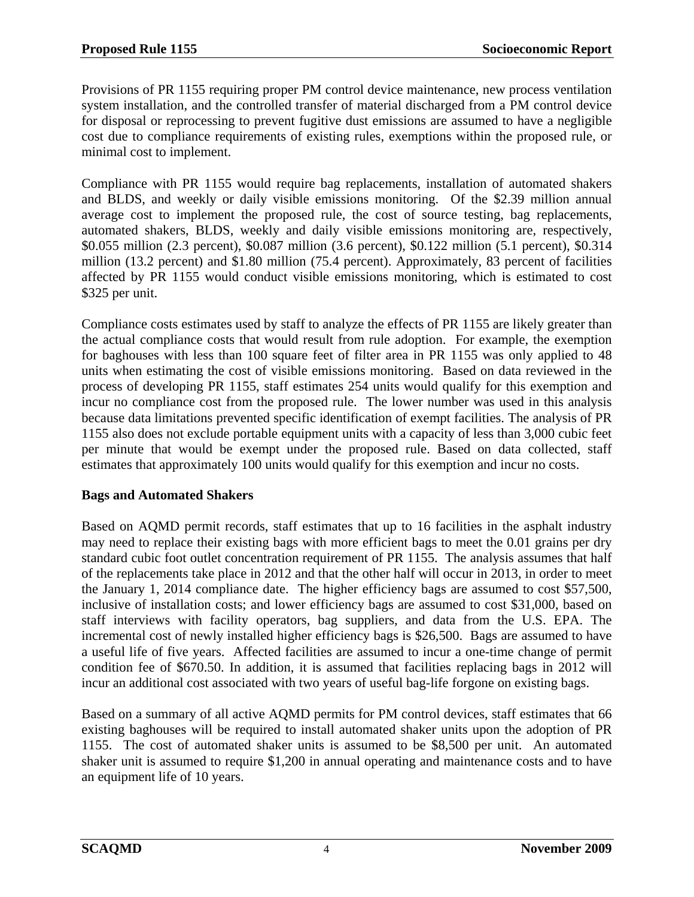Provisions of PR 1155 requiring proper PM control device maintenance, new process ventilation system installation, and the controlled transfer of material discharged from a PM control device for disposal or reprocessing to prevent fugitive dust emissions are assumed to have a negligible cost due to compliance requirements of existing rules, exemptions within the proposed rule, or minimal cost to implement.

Compliance with PR 1155 would require bag replacements, installation of automated shakers and BLDS, and weekly or daily visible emissions monitoring. Of the \$2.39 million annual average cost to implement the proposed rule, the cost of source testing, bag replacements, automated shakers, BLDS, weekly and daily visible emissions monitoring are, respectively, \$0.055 million (2.3 percent), \$0.087 million (3.6 percent), \$0.122 million (5.1 percent), \$0.314 million (13.2 percent) and \$1.80 million (75.4 percent). Approximately, 83 percent of facilities affected by PR 1155 would conduct visible emissions monitoring, which is estimated to cost \$325 per unit.

Compliance costs estimates used by staff to analyze the effects of PR 1155 are likely greater than the actual compliance costs that would result from rule adoption. For example, the exemption for baghouses with less than 100 square feet of filter area in PR 1155 was only applied to 48 units when estimating the cost of visible emissions monitoring. Based on data reviewed in the process of developing PR 1155, staff estimates 254 units would qualify for this exemption and incur no compliance cost from the proposed rule. The lower number was used in this analysis because data limitations prevented specific identification of exempt facilities. The analysis of PR 1155 also does not exclude portable equipment units with a capacity of less than 3,000 cubic feet per minute that would be exempt under the proposed rule. Based on data collected, staff estimates that approximately 100 units would qualify for this exemption and incur no costs.

### **Bags and Automated Shakers**

Based on AQMD permit records, staff estimates that up to 16 facilities in the asphalt industry may need to replace their existing bags with more efficient bags to meet the 0.01 grains per dry standard cubic foot outlet concentration requirement of PR 1155. The analysis assumes that half of the replacements take place in 2012 and that the other half will occur in 2013, in order to meet the January 1, 2014 compliance date. The higher efficiency bags are assumed to cost \$57,500, inclusive of installation costs; and lower efficiency bags are assumed to cost \$31,000, based on staff interviews with facility operators, bag suppliers, and data from the U.S. EPA. The incremental cost of newly installed higher efficiency bags is \$26,500. Bags are assumed to have a useful life of five years. Affected facilities are assumed to incur a one-time change of permit condition fee of \$670.50. In addition, it is assumed that facilities replacing bags in 2012 will incur an additional cost associated with two years of useful bag-life forgone on existing bags.

Based on a summary of all active AQMD permits for PM control devices, staff estimates that 66 existing baghouses will be required to install automated shaker units upon the adoption of PR 1155. The cost of automated shaker units is assumed to be \$8,500 per unit. An automated shaker unit is assumed to require \$1,200 in annual operating and maintenance costs and to have an equipment life of 10 years.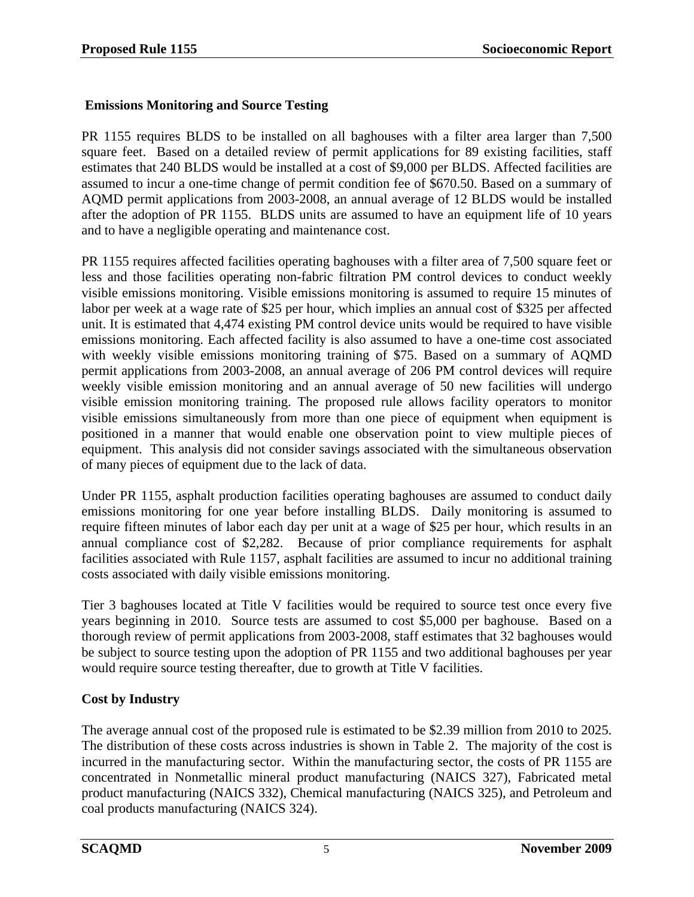### **Emissions Monitoring and Source Testing**

PR 1155 requires BLDS to be installed on all baghouses with a filter area larger than 7,500 square feet. Based on a detailed review of permit applications for 89 existing facilities, staff estimates that 240 BLDS would be installed at a cost of \$9,000 per BLDS. Affected facilities are assumed to incur a one-time change of permit condition fee of \$670.50. Based on a summary of AQMD permit applications from 2003-2008, an annual average of 12 BLDS would be installed after the adoption of PR 1155. BLDS units are assumed to have an equipment life of 10 years and to have a negligible operating and maintenance cost.

PR 1155 requires affected facilities operating baghouses with a filter area of 7,500 square feet or less and those facilities operating non-fabric filtration PM control devices to conduct weekly visible emissions monitoring. Visible emissions monitoring is assumed to require 15 minutes of labor per week at a wage rate of \$25 per hour, which implies an annual cost of \$325 per affected unit. It is estimated that 4,474 existing PM control device units would be required to have visible emissions monitoring. Each affected facility is also assumed to have a one-time cost associated with weekly visible emissions monitoring training of \$75. Based on a summary of AQMD permit applications from 2003-2008, an annual average of 206 PM control devices will require weekly visible emission monitoring and an annual average of 50 new facilities will undergo visible emission monitoring training. The proposed rule allows facility operators to monitor visible emissions simultaneously from more than one piece of equipment when equipment is positioned in a manner that would enable one observation point to view multiple pieces of equipment. This analysis did not consider savings associated with the simultaneous observation of many pieces of equipment due to the lack of data.

Under PR 1155, asphalt production facilities operating baghouses are assumed to conduct daily emissions monitoring for one year before installing BLDS. Daily monitoring is assumed to require fifteen minutes of labor each day per unit at a wage of \$25 per hour, which results in an annual compliance cost of \$2,282. Because of prior compliance requirements for asphalt facilities associated with Rule 1157, asphalt facilities are assumed to incur no additional training costs associated with daily visible emissions monitoring.

Tier 3 baghouses located at Title V facilities would be required to source test once every five years beginning in 2010. Source tests are assumed to cost \$5,000 per baghouse. Based on a thorough review of permit applications from 2003-2008, staff estimates that 32 baghouses would be subject to source testing upon the adoption of PR 1155 and two additional baghouses per year would require source testing thereafter, due to growth at Title V facilities.

### **Cost by Industry**

The average annual cost of the proposed rule is estimated to be \$2.39 million from 2010 to 2025. The distribution of these costs across industries is shown in Table 2. The majority of the cost is incurred in the manufacturing sector. Within the manufacturing sector, the costs of PR 1155 are concentrated in Nonmetallic mineral product manufacturing (NAICS 327), Fabricated metal product manufacturing (NAICS 332), Chemical manufacturing (NAICS 325), and Petroleum and coal products manufacturing (NAICS 324).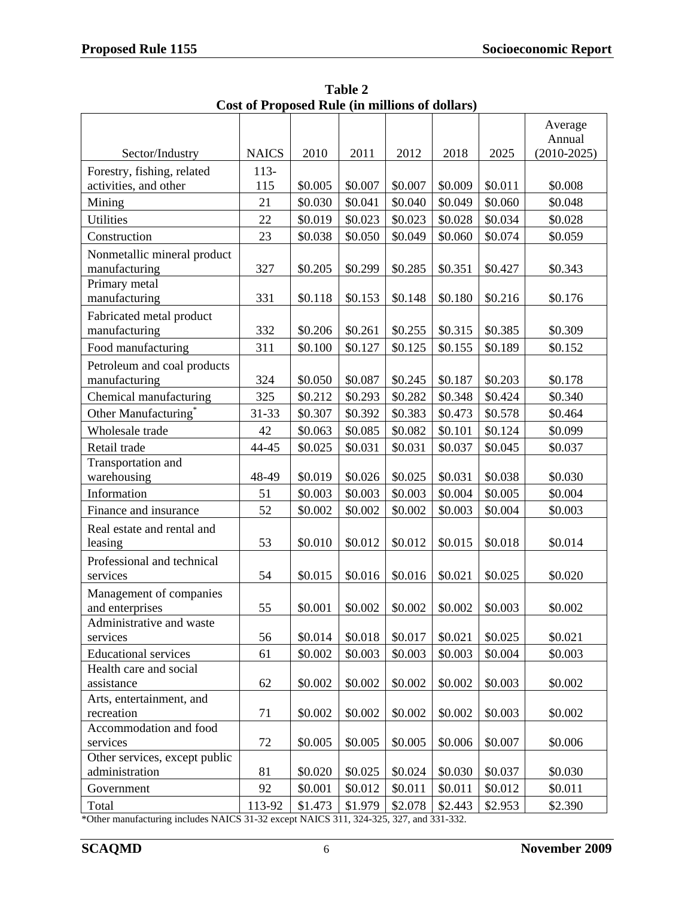|                                        |              |         |         |         |         |         | Average<br>Annual |
|----------------------------------------|--------------|---------|---------|---------|---------|---------|-------------------|
| Sector/Industry                        | <b>NAICS</b> | 2010    | 2011    | 2012    | 2018    | 2025    | $(2010 - 2025)$   |
| Forestry, fishing, related             | $113-$       |         |         |         |         |         |                   |
| activities, and other                  | 115          | \$0.005 | \$0.007 | \$0.007 | \$0.009 | \$0.011 | \$0.008           |
| Mining                                 | 21           | \$0.030 | \$0.041 | \$0.040 | \$0.049 | \$0.060 | \$0.048           |
| <b>Utilities</b>                       | 22           | \$0.019 | \$0.023 | \$0.023 | \$0.028 | \$0.034 | \$0.028           |
| Construction                           | 23           | \$0.038 | \$0.050 | \$0.049 | \$0.060 | \$0.074 | \$0.059           |
| Nonmetallic mineral product            |              |         |         |         |         |         |                   |
| manufacturing                          | 327          | \$0.205 | \$0.299 | \$0.285 | \$0.351 | \$0.427 | \$0.343           |
| Primary metal                          |              |         |         |         |         |         |                   |
| manufacturing                          | 331          | \$0.118 | \$0.153 | \$0.148 | \$0.180 | \$0.216 | \$0.176           |
| Fabricated metal product               |              |         |         |         |         |         |                   |
| manufacturing                          | 332          | \$0.206 | \$0.261 | \$0.255 | \$0.315 | \$0.385 | \$0.309           |
| Food manufacturing                     | 311          | \$0.100 | \$0.127 | \$0.125 | \$0.155 | \$0.189 | \$0.152           |
| Petroleum and coal products            |              |         |         |         |         |         |                   |
| manufacturing                          | 324          | \$0.050 | \$0.087 | \$0.245 | \$0.187 | \$0.203 | \$0.178           |
| Chemical manufacturing                 | 325          | \$0.212 | \$0.293 | \$0.282 | \$0.348 | \$0.424 | \$0.340           |
| Other Manufacturing <sup>*</sup>       | 31-33        | \$0.307 | \$0.392 | \$0.383 | \$0.473 | \$0.578 | \$0.464           |
| Wholesale trade                        | 42           | \$0.063 | \$0.085 | \$0.082 | \$0.101 | \$0.124 | \$0.099           |
| Retail trade                           | 44-45        | \$0.025 | \$0.031 | \$0.031 | \$0.037 | \$0.045 | \$0.037           |
| Transportation and                     |              |         |         |         |         |         |                   |
| warehousing                            | 48-49        | \$0.019 | \$0.026 | \$0.025 | \$0.031 | \$0.038 | \$0.030           |
| Information                            | 51           | \$0.003 | \$0.003 | \$0.003 | \$0.004 | \$0.005 | \$0.004           |
| Finance and insurance                  | 52           | \$0.002 | \$0.002 | \$0.002 | \$0.003 | \$0.004 | \$0.003           |
| Real estate and rental and             |              |         |         |         |         |         |                   |
| leasing                                | 53           | \$0.010 | \$0.012 | \$0.012 | \$0.015 | \$0.018 | \$0.014           |
| Professional and technical             |              |         |         |         |         |         |                   |
| services                               | 54           | \$0.015 | \$0.016 | \$0.016 | \$0.021 | \$0.025 | \$0.020           |
| Management of companies                |              |         |         |         |         |         |                   |
| and enterprises                        | 55           | \$0.001 | \$0.002 | \$0.002 | \$0.002 | \$0.003 | \$0.002           |
| Administrative and waste               |              |         |         |         |         |         |                   |
| services                               | 56           | \$0.014 | \$0.018 | \$0.017 | \$0.021 | \$0.025 | \$0.021           |
| <b>Educational services</b>            | 61           | \$0.002 | \$0.003 | \$0.003 | \$0.003 | \$0.004 | \$0.003           |
| Health care and social                 |              |         |         |         |         |         |                   |
| assistance                             | 62           | \$0.002 | \$0.002 | \$0.002 | \$0.002 | \$0.003 | \$0.002           |
| Arts, entertainment, and<br>recreation | 71           | \$0.002 | \$0.002 | \$0.002 | \$0.002 | \$0.003 | \$0.002           |
| Accommodation and food                 |              |         |         |         |         |         |                   |
| services                               | 72           | \$0.005 | \$0.005 | \$0.005 | \$0.006 | \$0.007 | \$0.006           |
| Other services, except public          |              |         |         |         |         |         |                   |
| administration                         | 81           | \$0.020 | \$0.025 | \$0.024 | \$0.030 | \$0.037 | \$0.030           |
| Government                             | 92           | \$0.001 | \$0.012 | \$0.011 | \$0.011 | \$0.012 | \$0.011           |
| Total                                  | 113-92       | \$1.473 | \$1.979 | \$2.078 | \$2.443 | \$2.953 | \$2.390           |

**Table 2 Cost of Proposed Rule (in millions of dollars)** 

\*Other manufacturing includes NAICS 31-32 except NAICS 311, 324-325, 327, and 331-332.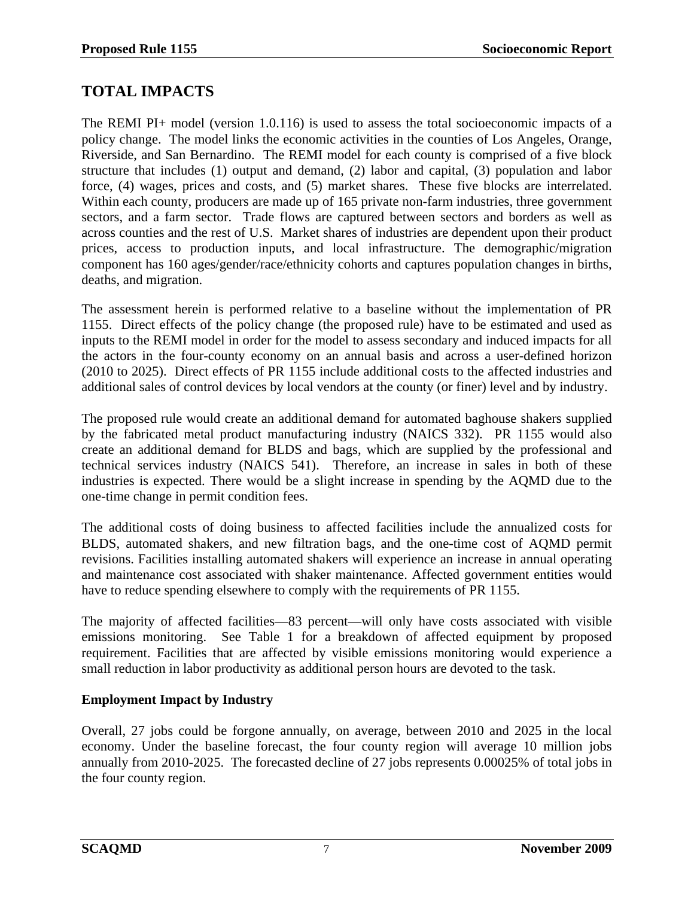## **TOTAL IMPACTS**

The REMI PI+ model (version 1.0.116) is used to assess the total socioeconomic impacts of a policy change. The model links the economic activities in the counties of Los Angeles, Orange, Riverside, and San Bernardino. The REMI model for each county is comprised of a five block structure that includes (1) output and demand, (2) labor and capital, (3) population and labor force, (4) wages, prices and costs, and (5) market shares. These five blocks are interrelated. Within each county, producers are made up of 165 private non-farm industries, three government sectors, and a farm sector. Trade flows are captured between sectors and borders as well as across counties and the rest of U.S. Market shares of industries are dependent upon their product prices, access to production inputs, and local infrastructure. The demographic/migration component has 160 ages/gender/race/ethnicity cohorts and captures population changes in births, deaths, and migration.

The assessment herein is performed relative to a baseline without the implementation of PR 1155. Direct effects of the policy change (the proposed rule) have to be estimated and used as inputs to the REMI model in order for the model to assess secondary and induced impacts for all the actors in the four-county economy on an annual basis and across a user-defined horizon (2010 to 2025). Direct effects of PR 1155 include additional costs to the affected industries and additional sales of control devices by local vendors at the county (or finer) level and by industry.

The proposed rule would create an additional demand for automated baghouse shakers supplied by the fabricated metal product manufacturing industry (NAICS 332). PR 1155 would also create an additional demand for BLDS and bags, which are supplied by the professional and technical services industry (NAICS 541). Therefore, an increase in sales in both of these industries is expected. There would be a slight increase in spending by the AQMD due to the one-time change in permit condition fees.

The additional costs of doing business to affected facilities include the annualized costs for BLDS, automated shakers, and new filtration bags, and the one-time cost of AQMD permit revisions. Facilities installing automated shakers will experience an increase in annual operating and maintenance cost associated with shaker maintenance. Affected government entities would have to reduce spending elsewhere to comply with the requirements of PR 1155.

The majority of affected facilities—83 percent—will only have costs associated with visible emissions monitoring. See Table 1 for a breakdown of affected equipment by proposed requirement. Facilities that are affected by visible emissions monitoring would experience a small reduction in labor productivity as additional person hours are devoted to the task.

### **Employment Impact by Industry**

Overall, 27 jobs could be forgone annually, on average, between 2010 and 2025 in the local economy. Under the baseline forecast, the four county region will average 10 million jobs annually from 2010-2025. The forecasted decline of 27 jobs represents 0.00025% of total jobs in the four county region.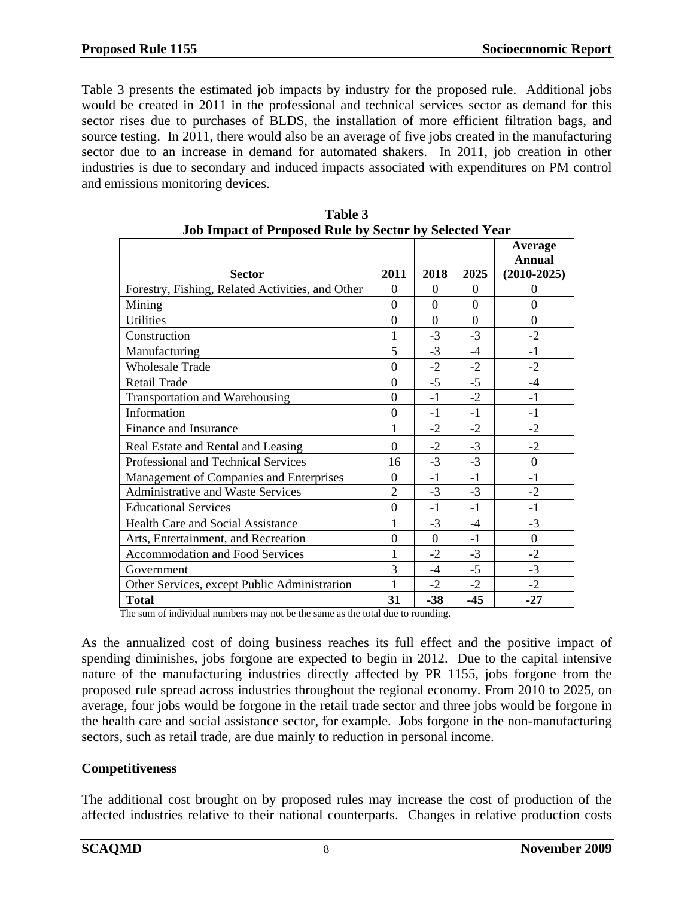Table 3 presents the estimated job impacts by industry for the proposed rule. Additional jobs would be created in 2011 in the professional and technical services sector as demand for this sector rises due to purchases of BLDS, the installation of more efficient filtration bags, and source testing. In 2011, there would also be an average of five jobs created in the manufacturing sector due to an increase in demand for automated shakers. In 2011, job creation in other industries is due to secondary and induced impacts associated with expenditures on PM control and emissions monitoring devices.

| JOD HIIPACI OI PTOPOSEG KUIE DY SECIOF DY SEIECIEG 1 EAF |                |          |          |                                           |  |  |
|----------------------------------------------------------|----------------|----------|----------|-------------------------------------------|--|--|
| Sector                                                   | 2011           | 2018     | 2025     | Average<br><b>Annual</b><br>$(2010-2025)$ |  |  |
| Forestry, Fishing, Related Activities, and Other         | $\Omega$       | $\theta$ | $\Omega$ | 0                                         |  |  |
| Mining                                                   | $\Omega$       | $\theta$ | $\theta$ | $\overline{0}$                            |  |  |
| <b>Utilities</b>                                         | $\Omega$       | $\theta$ | $\theta$ | $\mathbf{0}$                              |  |  |
| Construction                                             |                | $-3$     | $-3$     | $-2$                                      |  |  |
| Manufacturing                                            | 5              | $-3$     | $-4$     | $-1$                                      |  |  |
| <b>Wholesale Trade</b>                                   | $\theta$       | $-2$     | $-2$     | $-2$                                      |  |  |
| Retail Trade                                             | $\Omega$       | $-5$     | $-5$     | $-4$                                      |  |  |
| <b>Transportation and Warehousing</b>                    | $\Omega$       | $-1$     | $-2$     | $-1$                                      |  |  |
| Information                                              | $\theta$       | -1       | $-1$     | $-1$                                      |  |  |
| Finance and Insurance                                    |                | $-2$     | $-2$     | $-2$                                      |  |  |
| Real Estate and Rental and Leasing                       | $\Omega$       | $-2$     | $-3$     | $-2$                                      |  |  |
| Professional and Technical Services                      | 16             | $-3$     | $-3$     | $\mathbf{0}$                              |  |  |
| Management of Companies and Enterprises                  | $\Omega$       | $-1$     | $-1$     | $-1$                                      |  |  |
| <b>Administrative and Waste Services</b>                 | $\overline{2}$ | $-3$     | $-3$     | $-2$                                      |  |  |
| <b>Educational Services</b>                              | $\overline{0}$ | $-1$     | $-1$     | $-1$                                      |  |  |
| <b>Health Care and Social Assistance</b>                 | 1              | $-3$     | $-4$     | $-3$                                      |  |  |
| Arts, Entertainment, and Recreation                      | $\theta$       | $\Omega$ | $-1$     | $\overline{0}$                            |  |  |
| <b>Accommodation and Food Services</b>                   |                | $-2$     | $-3$     | $-2$                                      |  |  |
| Government                                               | 3              | $-4$     | $-5$     | $-3$                                      |  |  |
| Other Services, except Public Administration             |                | $-2$     | $-2$     | $-2$                                      |  |  |
| <b>Total</b>                                             | 31             | $-38$    | $-45$    | $-27$                                     |  |  |

**Table 3 Job Impact of Proposed Rule by Sector by Selected Year** 

The sum of individual numbers may not be the same as the total due to rounding.

As the annualized cost of doing business reaches its full effect and the positive impact of spending diminishes, jobs forgone are expected to begin in 2012. Due to the capital intensive nature of the manufacturing industries directly affected by PR 1155, jobs forgone from the proposed rule spread across industries throughout the regional economy. From 2010 to 2025, on average, four jobs would be forgone in the retail trade sector and three jobs would be forgone in the health care and social assistance sector, for example. Jobs forgone in the non-manufacturing sectors, such as retail trade, are due mainly to reduction in personal income.

### **Competitiveness**

The additional cost brought on by proposed rules may increase the cost of production of the affected industries relative to their national counterparts. Changes in relative production costs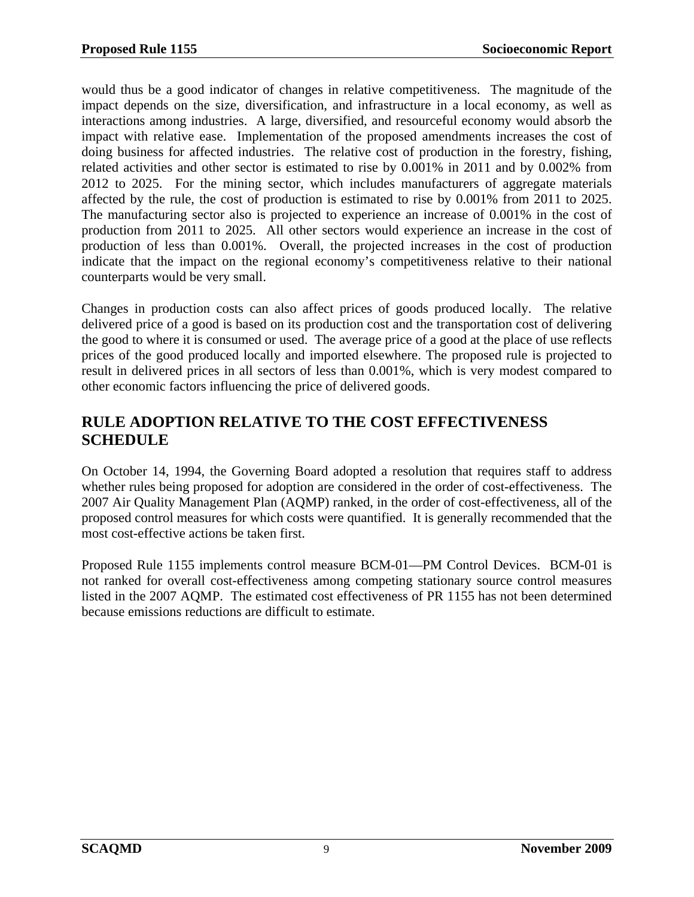would thus be a good indicator of changes in relative competitiveness. The magnitude of the impact depends on the size, diversification, and infrastructure in a local economy, as well as interactions among industries. A large, diversified, and resourceful economy would absorb the impact with relative ease. Implementation of the proposed amendments increases the cost of doing business for affected industries. The relative cost of production in the forestry, fishing, related activities and other sector is estimated to rise by 0.001% in 2011 and by 0.002% from 2012 to 2025. For the mining sector, which includes manufacturers of aggregate materials affected by the rule, the cost of production is estimated to rise by 0.001% from 2011 to 2025. The manufacturing sector also is projected to experience an increase of 0.001% in the cost of production from 2011 to 2025. All other sectors would experience an increase in the cost of production of less than 0.001%. Overall, the projected increases in the cost of production indicate that the impact on the regional economy's competitiveness relative to their national counterparts would be very small.

Changes in production costs can also affect prices of goods produced locally. The relative delivered price of a good is based on its production cost and the transportation cost of delivering the good to where it is consumed or used. The average price of a good at the place of use reflects prices of the good produced locally and imported elsewhere. The proposed rule is projected to result in delivered prices in all sectors of less than 0.001%, which is very modest compared to other economic factors influencing the price of delivered goods.

## **RULE ADOPTION RELATIVE TO THE COST EFFECTIVENESS SCHEDULE**

On October 14, 1994, the Governing Board adopted a resolution that requires staff to address whether rules being proposed for adoption are considered in the order of cost-effectiveness. The 2007 Air Quality Management Plan (AQMP) ranked, in the order of cost-effectiveness, all of the proposed control measures for which costs were quantified. It is generally recommended that the most cost-effective actions be taken first.

Proposed Rule 1155 implements control measure BCM-01—PM Control Devices. BCM-01 is not ranked for overall cost-effectiveness among competing stationary source control measures listed in the 2007 AQMP. The estimated cost effectiveness of PR 1155 has not been determined because emissions reductions are difficult to estimate.